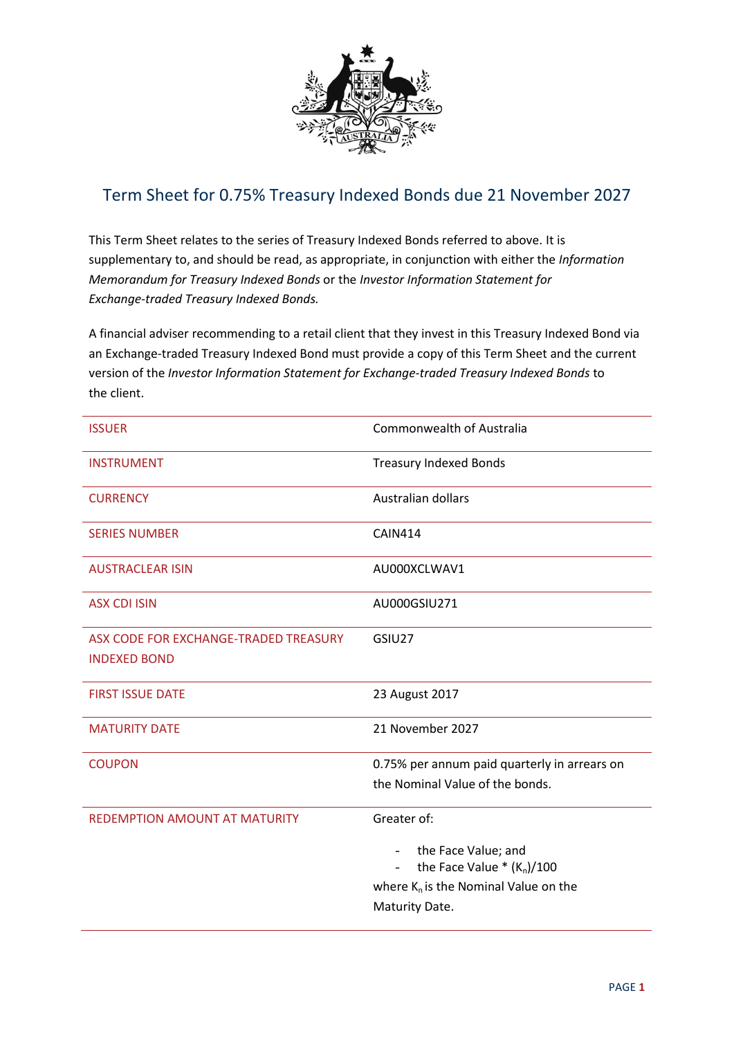

## Term Sheet for 0.75% Treasury Indexed Bonds due 21 November 2027

This Term Sheet relates to the series of Treasury Indexed Bonds referred to above. It is supplementary to, and should be read, as appropriate, in conjunction with either the *Information Memorandum for Treasury Indexed Bonds* or the *Investor Information Statement for Exchange-traded Treasury Indexed Bonds.*

A financial adviser recommending to a retail client that they invest in this Treasury Indexed Bond via an Exchange-traded Treasury Indexed Bond must provide a copy of this Term Sheet and the current version of the *Investor Information Statement for Exchange-traded Treasury Indexed Bonds* to the client.

| <b>ISSUER</b>                                                | <b>Commonwealth of Australia</b>                        |
|--------------------------------------------------------------|---------------------------------------------------------|
| <b>INSTRUMENT</b>                                            | <b>Treasury Indexed Bonds</b>                           |
| <b>CURRENCY</b>                                              | Australian dollars                                      |
| <b>SERIES NUMBER</b>                                         | <b>CAIN414</b>                                          |
| <b>AUSTRACLEAR ISIN</b>                                      | AU000XCLWAV1                                            |
| <b>ASX CDI ISIN</b>                                          | AU000GSIU271                                            |
| ASX CODE FOR EXCHANGE-TRADED TREASURY<br><b>INDEXED BOND</b> | GSIU27                                                  |
|                                                              |                                                         |
| <b>FIRST ISSUE DATE</b>                                      | 23 August 2017                                          |
| <b>MATURITY DATE</b>                                         | 21 November 2027                                        |
| <b>COUPON</b>                                                | 0.75% per annum paid quarterly in arrears on            |
|                                                              | the Nominal Value of the bonds.                         |
| <b>REDEMPTION AMOUNT AT MATURITY</b>                         | Greater of:                                             |
|                                                              | - the Face Value; and                                   |
|                                                              | the Face Value $*(K_n)/100$<br>$\overline{\phantom{a}}$ |
|                                                              | where $K_n$ is the Nominal Value on the                 |
|                                                              | Maturity Date.                                          |